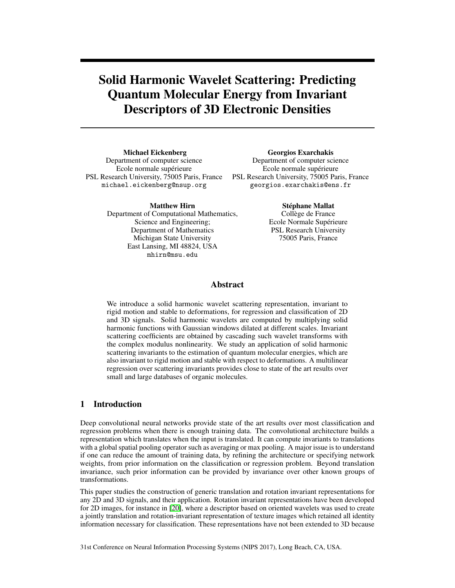# Solid Harmonic Wavelet Scattering: Predicting Quantum Molecular Energy from Invariant Descriptors of 3D Electronic Densities

Michael Eickenberg Department of computer science Ecole normale supérieure PSL Research University, 75005 Paris, France michael.eickenberg@nsup.org

Georgios Exarchakis Department of computer science Ecole normale supérieure PSL Research University, 75005 Paris, France georgios.exarchakis@ens.fr

Matthew Hirn Department of Computational Mathematics, Science and Engineering; Department of Mathematics Michigan State University East Lansing, MI 48824, USA mhirn@msu.edu

Stéphane Mallat

Collège de France Ecole Normale Supérieure PSL Research University 75005 Paris, France

# Abstract

We introduce a solid harmonic wavelet scattering representation, invariant to rigid motion and stable to deformations, for regression and classification of 2D and 3D signals. Solid harmonic wavelets are computed by multiplying solid harmonic functions with Gaussian windows dilated at different scales. Invariant scattering coefficients are obtained by cascading such wavelet transforms with the complex modulus nonlinearity. We study an application of solid harmonic scattering invariants to the estimation of quantum molecular energies, which are also invariant to rigid motion and stable with respect to deformations. A multilinear regression over scattering invariants provides close to state of the art results over small and large databases of organic molecules.

# 1 Introduction

Deep convolutional neural networks provide state of the art results over most classification and regression problems when there is enough training data. The convolutional architecture builds a representation which translates when the input is translated. It can compute invariants to translations with a global spatial pooling operator such as averaging or max pooling. A major issue is to understand if one can reduce the amount of training data, by refining the architecture or specifying network weights, from prior information on the classification or regression problem. Beyond translation invariance, such prior information can be provided by invariance over other known groups of transformations.

This paper studies the construction of generic translation and rotation invariant representations for any 2D and 3D signals, and their application. Rotation invariant representations have been developed for 2D images, for instance in [20], where a descriptor based on oriented wavelets was used to create a jointly translation and rotation-invariant representation of texture images which retained all identity information necessary for classification. These representations have not been extended to 3D because

31st Conference on Neural Information Processing Systems (NIPS 2017), Long Beach, CA, USA.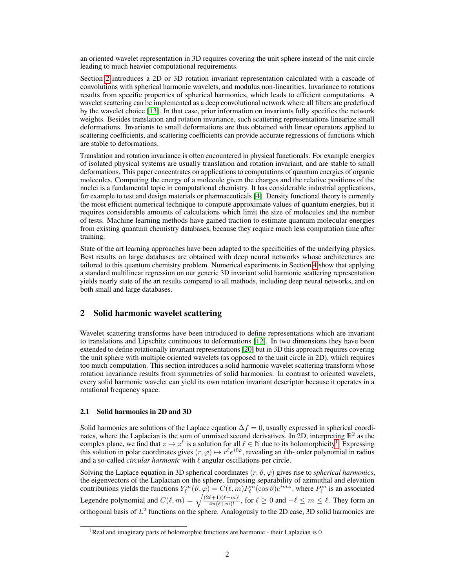an oriented wavelet representation in 3D requires covering the unit sphere instead of the unit circle leading to much heavier computational requirements.

Section 2 introduces a 2D or 3D rotation invariant representation calculated with a cascade of convolutions with spherical harmonic wavelets, and modulus non-linearities. Invariance to rotations results from specific properties of spherical harmonics, which leads to efficient computations. A wavelet scattering can be implemented as a deep convolutional network where all filters are predefined by the wavelet choice [13]. In that case, prior information on invariants fully specifies the network weights. Besides translation and rotation invariance, such scattering representations linearize small deformations. Invariants to small deformations are thus obtained with linear operators applied to scattering coefficients, and scattering coefficients can provide accurate regressions of functions which are stable to deformations.

Translation and rotation invariance is often encountered in physical functionals. For example energies of isolated physical systems are usually translation and rotation invariant, and are stable to small deformations. This paper concentrates on applications to computations of quantum energies of organic molecules. Computing the energy of a molecule given the charges and the relative positions of the nuclei is a fundamental topic in computational chemistry. It has considerable industrial applications, for example to test and design materials or pharmaceuticals [4]. Density functional theory is currently the most efficient numerical technique to compute approximate values of quantum energies, but it requires considerable amounts of calculations which limit the size of molecules and the number of tests. Machine learning methods have gained traction to estimate quantum molecular energies from existing quantum chemistry databases, because they require much less computation time after training.

State of the art learning approaches have been adapted to the specificities of the underlying physics. Best results on large databases are obtained with deep neural networks whose architectures are tailored to this quantum chemistry problem. Numerical experiments in Section 4 show that applying a standard multilinear regression on our generic 3D invariant solid harmonic scattering representation yields nearly state of the art results compared to all methods, including deep neural networks, and on both small and large databases.

# 2 Solid harmonic wavelet scattering

Wavelet scattering transforms have been introduced to define representations which are invariant to translations and Lipschitz continuous to deformations [12]. In two dimensions they have been extended to define rotationally invariant representations [20] but in 3D this approach requires covering the unit sphere with multiple oriented wavelets (as opposed to the unit circle in 2D), which requires too much computation. This section introduces a solid harmonic wavelet scattering transform whose rotation invariance results from symmetries of solid harmonics. In contrast to oriented wavelets, every solid harmonic wavelet can yield its own rotation invariant descriptor because it operates in a rotational frequency space.

#### 2.1 Solid harmonics in 2D and 3D

Solid harmonics are solutions of the Laplace equation  $\Delta f = 0$ , usually expressed in spherical coordinates, where the Laplacian is the sum of unmixed second derivatives. In 2D, interpreting  $\mathbb{R}^2$  as the complex plane, we find that  $z \mapsto z^{\ell}$  is a solution for all  $\ell \in \mathbb{N}$  due to its holomorphicity<sup>1</sup>. Expressing this solution in polar coordinates gives  $(r, \varphi) \mapsto r^{\ell} e^{i\ell\varphi}$ , revealing an  $\ell$ th- order polynomial in radius and a so-called *circular harmonic* with  $\ell$  angular oscillations per circle.

Solving the Laplace equation in 3D spherical coordinates  $(r, \vartheta, \varphi)$  gives rise to *spherical harmonics*, the eigenvectors of the Laplacian on the sphere. Imposing separability of azimuthal and elevation contributions yields the functions  $Y_\ell^m(\vartheta, \varphi) = C(\ell, m) P_\ell^m(\cos \vartheta) e^{im\varphi}$ , where  $P_\ell^m$  is an associated Legendre polynomial and  $C(\ell, m) = \sqrt{\frac{(2\ell+1)(\ell-m)!}{4\pi(\ell+m)!}}$ , for  $\ell \ge 0$  and  $-\ell \le m \le \ell$ . They form an orthogonal basis of  $L^2$  functions on the sphere. Analogously to the 2D case, 3D solid harmonics are

<sup>&</sup>lt;sup>1</sup>Real and imaginary parts of holomorphic functions are harmonic - their Laplacian is 0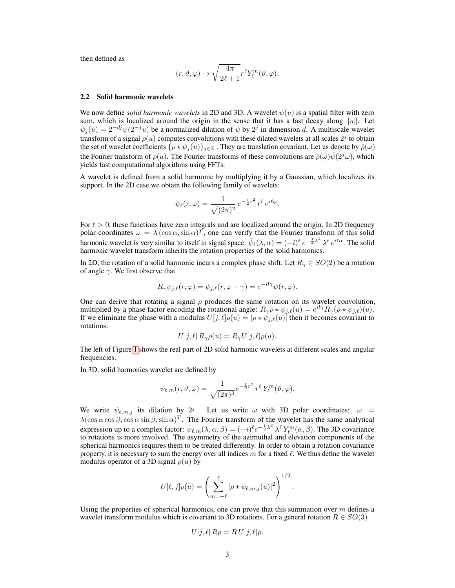then defined as

$$
(r,\vartheta,\varphi)\mapsto \sqrt{\frac{4\pi}{2\ell+1}}r^\ell Y_\ell^m(\vartheta,\varphi).
$$

#### 2.2 Solid harmonic wavelets

We now define *solid harmonic wavelets* in 2D and 3D. A wavelet  $\psi(u)$  is a spatial filter with zero sum, which is localized around the origin in the sense that it has a fast decay along  $||u||$ . Let  $\psi_j(u) = 2^{-dj}\psi(2^{-j}u)$  be a normalized dilation of  $\psi$  by  $2^j$  in dimension d. A multiscale wavelet transform of a signal  $\rho(u)$  computes convolutions with these dilated wavelets at all scales  $2^j$  to obtain the set of wavelet coefficients  $\{\rho \star \psi_j(u)\}_{j\in\mathbb{Z}}$ . They are translation covariant. Let us denote by  $\hat{\rho}(\omega)$ the Fourier transform of  $\rho(u)$ . The Fourier transforms of these convolutions are  $\hat{\rho}(\omega)\hat{\psi}(2^j\omega)$ , which yields fast computational algorithms using FFTs.

A wavelet is defined from a solid harmonic by multiplying it by a Gaussian, which localizes its support. In the 2D case we obtain the following family of wavelets:

$$
\psi_{\ell}(r,\varphi) = \frac{1}{\sqrt{(2\pi)^2}} e^{-\frac{1}{2}r^2} r^{\ell} e^{i\ell\varphi}
$$

.

For  $\ell > 0$ , these functions have zero integrals and are localized around the origin. In 2D frequency polar coordinates  $\omega = \lambda (\cos \alpha, \sin \alpha)^T$ , one can verify that the Fourier transform of this solid harmonic wavelet is very similar to itself in signal space:  $\hat{\psi}_{\ell}(\lambda,\alpha) = (-i)^{\ell} e^{-\frac{1}{2}\lambda^2} \lambda^{\ell} e^{i\ell\alpha}$ . The solid harmonic wavelet transform inherits the rotation properties of the solid harmonics.

In 2D, the rotation of a solid harmonic incurs a complex phase shift. Let  $R_\gamma \in SO(2)$  be a rotation of angle  $\gamma$ . We first observe that

$$
R_{\gamma}\psi_{j,\ell}(r,\varphi)=\psi_{j,\ell}(r,\varphi-\gamma)=e^{-il\gamma}\psi(r,\varphi).
$$

One can derive that rotating a signal  $\rho$  produces the same rotation on its wavelet convolution, multiplied by a phase factor encoding the rotational angle:  $R_{\gamma}\rho \star \psi_{j,\ell}(u) = e^{i\ell\gamma}R_{\gamma}(\rho \star \psi_{j,\ell})(u)$ . If we eliminate the phase with a modulus  $U[j,\ell]\rho(u) = |\rho \star \psi_{j,\ell}(u)|$  then it becomes covariant to rotations:

$$
U[j, \ell] R_{\gamma} \rho(u) = R_{\gamma} U[j, \ell] \rho(u).
$$

The left of Figure 1 shows the real part of 2D solid harmonic wavelets at different scales and angular frequencies.

In 3D, solid harmonics wavelet are defined by

$$
\psi_{\ell,m}(r,\vartheta,\varphi) = \frac{1}{\sqrt{(2\pi)^3}} e^{-\frac{1}{2}r^2} r^{\ell} Y_{\ell}^m(\vartheta,\varphi).
$$

We write  $\psi_{\ell,m,j}$  its dilation by  $2^j$ . Let us write  $\omega$  with 3D polar coordinates:  $\omega =$  $\lambda(\cos\alpha\cos\beta,\cos\alpha\sin\beta,\sin\alpha)^T$ . The Fourier transform of the wavelet has the same analytical expression up to a complex factor:  $\hat{\psi}_{\ell,m}(\lambda,\alpha,\beta) = (-i)^{\ell} e^{-\frac{1}{2}\lambda^2} \lambda^{\ell} Y_{\ell}^{m}(\alpha,\beta)$ . The 3D covariance to rotations is more involved. The asymmetry of the azimuthal and elevation components of the spherical harmonics requires them to be treated differently. In order to obtain a rotation covariance property, it is necessary to sum the energy over all indices m for a fixed  $\ell$ . We thus define the wavelet modulus operator of a 3D signal  $\rho(u)$  by

$$
U[\ell,j]\rho(u) = \left(\sum_{m=-\ell}^{\ell} |\rho \star \psi_{\ell,m,j}(u)|^2\right)^{1/2}.
$$

Using the properties of spherical harmonics, one can prove that this summation over  $m$  defines a wavelet transform modulus which is covariant to 3D rotations. For a general rotation  $R \in SO(3)$ 

$$
U[j,\ell] \, R\rho = R \, U[j,\ell] \rho.
$$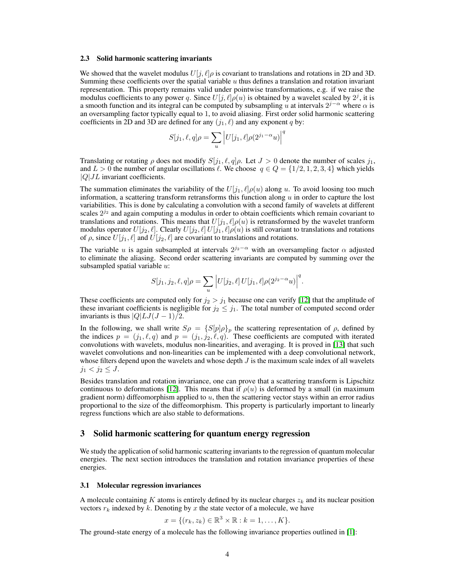#### 2.3 Solid harmonic scattering invariants

We showed that the wavelet modulus  $U[j, \ell]$  is covariant to translations and rotations in 2D and 3D. Summing these coefficients over the spatial variable  $u$  thus defines a translation and rotation invariant representation. This property remains valid under pointwise transformations, e.g. if we raise the modulus coefficients to any power q. Since  $U[j, \ell] \rho(u)$  is obtained by a wavelet scaled by  $2^j$ , it is a smooth function and its integral can be computed by subsampling u at intervals  $2^{j-\alpha}$  where  $\alpha$  is an oversampling factor typically equal to 1, to avoid aliasing. First order solid harmonic scattering coefficients in 2D and 3D are defined for any  $(j_1, \ell)$  and any exponent q by:

$$
S[j_1, \ell, q] \rho = \sum_u \left| U[j_1, \ell] \rho(2^{j_1 - \alpha} u) \right|^q
$$

Translating or rotating  $\rho$  does not modify  $S[j_1, \ell, q]\rho$ . Let  $J > 0$  denote the number of scales  $j_1$ , and  $L > 0$  the number of angular oscillations  $\ell$ . We choose  $q \in Q = \{1/2, 1, 2, 3, 4\}$  which yields  $|Q|JL$  invariant coefficients.

The summation eliminates the variability of the  $U[j_1, \ell] \rho(u)$  along u. To avoid loosing too much information, a scattering transform retransforms this function along  $u$  in order to capture the lost variabilities. This is done by calculating a convolution with a second family of wavelets at different scales  $2^{j_2}$  and again computing a modulus in order to obtain coefficients which remain covariant to translations and rotations. This means that  $U[j_1, \ell]\rho(u)$  is retransformed by the wavelet tranform modulus operator  $U[j_2, \ell]$ . Clearly  $U[j_2, \ell]U[j_1, \ell]\rho(u)$  is still covariant to translations and rotations of  $\rho$ , since  $U[j_1, \ell]$  and  $U[j_2, \ell]$  are covariant to translations and rotations.

The variable u is again subsampled at intervals  $2^{j_2-\alpha}$  with an oversampling factor  $\alpha$  adjusted to eliminate the aliasing. Second order scattering invariants are computed by summing over the subsampled spatial variable  $u$ :

$$
S[j_1, j_2, \ell, q] \rho = \sum_u \left| U[j_2, \ell] \, U[j_1, \ell] \rho(2^{j_2 - \alpha} u) \right|^q.
$$

These coefficients are computed only for  $j_2 > j_1$  because one can verify [12] that the amplitude of these invariant coefficients is negligible for  $j_2 \leq j_1$ . The total number of computed second order invariants is thus  $|Q|LJ(J-1)/2$ .

In the following, we shall write  $S\rho = \{S[p]\rho\}_p$  the scattering representation of  $\rho$ , defined by the indices  $p = (j_1, \ell, q)$  and  $p = (j_1, j_2, \ell, q)$ . These coefficients are computed with iterated convolutions with wavelets, modulus non-linearities, and averaging. It is proved in [13] that such wavelet convolutions and non-linearities can be implemented with a deep convolutional network, whose filters depend upon the wavelets and whose depth  $J$  is the maximum scale index of all wavelets  $j_1 < j_2 \leq J$ .

Besides translation and rotation invariance, one can prove that a scattering transform is Lipschitz continuous to deformations [12]. This means that if  $\rho(u)$  is deformed by a small (in maximum gradient norm) diffeomorphism applied to  $u$ , then the scattering vector stays within an error radius proportional to the size of the diffeomorphism. This property is particularly important to linearly regress functions which are also stable to deformations.

# 3 Solid harmonic scattering for quantum energy regression

We study the application of solid harmonic scattering invariants to the regression of quantum molecular energies. The next section introduces the translation and rotation invariance properties of these energies.

#### 3.1 Molecular regression invariances

A molecule containing K atoms is entirely defined by its nuclear charges  $z_k$  and its nuclear position vectors  $r_k$  indexed by k. Denoting by x the state vector of a molecule, we have

$$
x = \{(r_k, z_k) \in \mathbb{R}^3 \times \mathbb{R} : k = 1, \dots, K\}.
$$

The ground-state energy of a molecule has the following invariance properties outlined in [1]: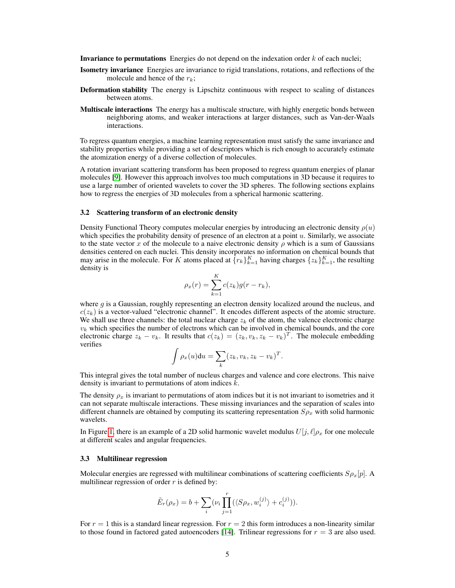**Invariance to permutations** Energies do not depend on the indexation order  $k$  of each nuclei;

- Isometry invariance Energies are invariance to rigid translations, rotations, and reflections of the molecule and hence of the  $r_k$ ;
- Deformation stability The energy is Lipschitz continuous with respect to scaling of distances between atoms.
- **Multiscale interactions** The energy has a multiscale structure, with highly energetic bonds between neighboring atoms, and weaker interactions at larger distances, such as Van-der-Waals interactions.

To regress quantum energies, a machine learning representation must satisfy the same invariance and stability properties while providing a set of descriptors which is rich enough to accurately estimate the atomization energy of a diverse collection of molecules.

A rotation invariant scattering transform has been proposed to regress quantum energies of planar molecules [9]. However this approach involves too much computations in 3D because it requires to use a large number of oriented wavelets to cover the 3D spheres. The following sections explains how to regress the energies of 3D molecules from a spherical harmonic scattering.

#### 3.2 Scattering transform of an electronic density

Density Functional Theory computes molecular energies by introducing an electronic density  $\rho(u)$ which specifies the probability density of presence of an electron at a point  $u$ . Similarly, we associate to the state vector x of the molecule to a naive electronic density  $\rho$  which is a sum of Gaussians densities centered on each nuclei. This density incorporates no information on chemical bounds that may arise in the molecule. For K atoms placed at  $\{r_k\}_{k=1}^K$  having charges  $\{z_k\}_{k=1}^K$ , the resulting density is

$$
\rho_x(r) = \sum_{k=1}^K c(z_k)g(r - r_k),
$$

where  $q$  is a Gaussian, roughly representing an electron density localized around the nucleus, and  $c(z_k)$  is a vector-valued "electronic channel". It encodes different aspects of the atomic structure. We shall use three channels: the total nuclear charge  $z_k$  of the atom, the valence electronic charge  $v_k$  which specifies the number of electrons which can be involved in chemical bounds, and the core electronic charge  $z_k - v_k$ . It results that  $c(z_k) = (z_k, v_k, z_k - v_k)^T$ . The molecule embedding verifies

$$
\int \rho_x(u) \mathrm{d}u = \sum_k (z_k, v_k, z_k - v_k)^T.
$$

This integral gives the total number of nucleus charges and valence and core electrons. This naive density is invariant to permutations of atom indices  $k$ .

The density  $\rho_x$  is invariant to permutations of atom indices but it is not invariant to isometries and it can not separate multiscale interactions. These missing invariances and the separation of scales into different channels are obtained by computing its scattering representation  $S_{\rho_x}$  with solid harmonic wavelets.

In Figure 1, there is an example of a 2D solid harmonic wavelet modulus  $U[j, \ell] \rho_x$  for one molecule at different scales and angular frequencies.

#### 3.3 Multilinear regression

Molecular energies are regressed with multilinear combinations of scattering coefficients  $Sp_x[p]$ . A multilinear regression of order  $r$  is defined by:

$$
\tilde{E}_r(\rho_x) = b + \sum_i (\nu_i \prod_{j=1}^r (\langle S\rho_x, w_i^{(j)} \rangle + c_i^{(j)})).
$$

For  $r = 1$  this is a standard linear regression. For  $r = 2$  this form introduces a non-linearity similar to those found in factored gated autoencoders [14]. Trilinear regressions for  $r = 3$  are also used.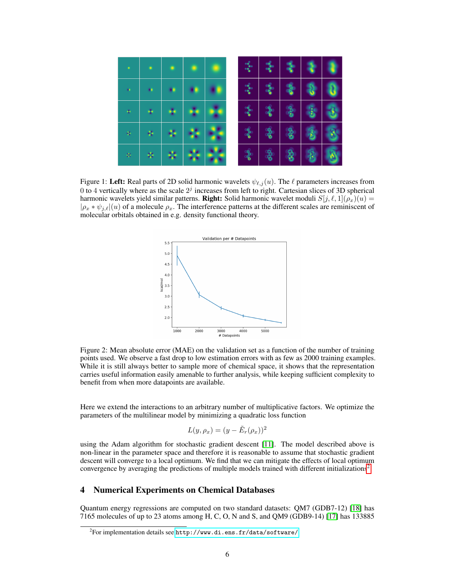

Figure 1: Left: Real parts of 2D solid harmonic wavelets  $\psi_{\ell,j}(u)$ . The  $\ell$  parameters increases from 0 to 4 vertically where as the scale  $2<sup>j</sup>$  increases from left to right. Cartesian slices of 3D spherical harmonic wavelets yield similar patterns. **Right:** Solid harmonic wavelet moduli  $S[j, \ell, 1](\rho_x)(u) =$  $|\rho_x * \psi_{j,\ell}|(u)$  of a molecule  $\rho_x$ . The interference patterns at the different scales are reminiscent of molecular orbitals obtained in e.g. density functional theory.



Figure 2: Mean absolute error (MAE) on the validation set as a function of the number of training points used. We observe a fast drop to low estimation errors with as few as 2000 training examples. While it is still always better to sample more of chemical space, it shows that the representation carries useful information easily amenable to further analysis, while keeping sufficient complexity to benefit from when more datapoints are available.

Here we extend the interactions to an arbitrary number of multiplicative factors. We optimize the parameters of the multilinear model by minimizing a quadratic loss function

$$
L(y, \rho_x) = (y - \tilde{E}_r(\rho_x))^2
$$

using the Adam algorithm for stochastic gradient descent [11]. The model described above is non-linear in the parameter space and therefore it is reasonable to assume that stochastic gradient descent will converge to a local optimum. We find that we can mitigate the effects of local optimum convergence by averaging the predictions of multiple models trained with different initializations<sup>2</sup>.

# 4 Numerical Experiments on Chemical Databases

Quantum energy regressions are computed on two standard datasets: QM7 (GDB7-12) [18] has 7165 molecules of up to 23 atoms among H, C, O, N and S, and QM9 (GDB9-14) [17] has 133885

 $^2$ For implementation details see <code><http://www.di.ens.fr/data/software/></code>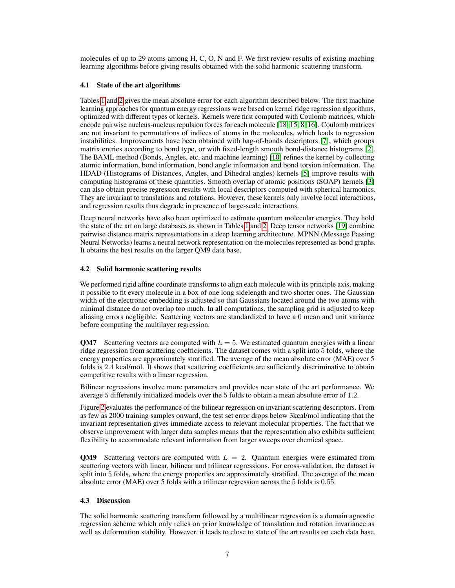molecules of up to 29 atoms among H, C, O, N and F. We first review results of existing maching learning algorithms before giving results obtained with the solid harmonic scattering transform.

### 4.1 State of the art algorithms

Tables 1 and 2 gives the mean absolute error for each algorithm described below. The first machine learning approaches for quantum energy regressions were based on kernel ridge regression algorithms, optimized with different types of kernels. Kernels were first computed with Coulomb matrices, which encode pairwise nucleus-nucleus repulsion forces for each molecule [18, 15, 8, 16]. Coulomb matrices are not invariant to permutations of indices of atoms in the molecules, which leads to regression instabilities. Improvements have been obtained with bag-of-bonds descriptors [7], which groups matrix entries according to bond type, or with fixed-length smooth bond-distance histograms [2]. The BAML method (Bonds, Angles, etc, and machine learning) [10] refines the kernel by collecting atomic information, bond information, bond angle information and bond torsion information. The HDAD (Histograms of Distances, Angles, and Dihedral angles) kernels [5] improve results with computing histograms of these quantities. Smooth overlap of atomic positions (SOAP) kernels [3] can also obtain precise regression results with local descriptors computed with spherical harmonics. They are invariant to translations and rotations. However, these kernels only involve local interactions, and regression results thus degrade in presence of large-scale interactions.

Deep neural networks have also been optimized to estimate quantum molecular energies. They hold the state of the art on large databases as shown in Tables 1 and 2. Deep tensor networks [19] combine pairwise distance matrix representations in a deep learning architecture. MPNN (Message Passing Neural Networks) learns a neural network representation on the molecules represented as bond graphs. It obtains the best results on the larger QM9 data base.

#### 4.2 Solid harmonic scattering results

We performed rigid affine coordinate transforms to align each molecule with its principle axis, making it possible to fit every molecule in a box of one long sidelength and two shorter ones. The Gaussian width of the electronic embedding is adjusted so that Gaussians located around the two atoms with minimal distance do not overlap too much. In all computations, the sampling grid is adjusted to keep aliasing errors negligible. Scattering vectors are standardized to have a 0 mean and unit variance before computing the multilayer regression.

**QM7** Scattering vectors are computed with  $L = 5$ . We estimated quantum energies with a linear ridge regression from scattering coefficients. The dataset comes with a split into 5 folds, where the energy properties are approximately stratified. The average of the mean absolute error (MAE) over 5 folds is 2.4 kcal/mol. It shows that scattering coefficients are sufficiently discriminative to obtain competitive results with a linear regression.

Bilinear regressions involve more parameters and provides near state of the art performance. We average 5 differently initialized models over the 5 folds to obtain a mean absolute error of 1.2.

Figure 2 evaluates the performance of the bilinear regression on invariant scattering descriptors. From as few as 2000 training samples onward, the test set error drops below 3kcal/mol indicating that the invariant representation gives immediate access to relevant molecular properties. The fact that we observe improvement with larger data samples means that the representation also exhibits sufficient flexibility to accommodate relevant information from larger sweeps over chemical space.

**QM9** Scattering vectors are computed with  $L = 2$ . Quantum energies were estimated from scattering vectors with linear, bilinear and trilinear regressions. For cross-validation, the dataset is split into 5 folds, where the energy properties are approximately stratified. The average of the mean absolute error (MAE) over 5 folds with a trilinear regression across the 5 folds is 0.55.

#### 4.3 Discussion

The solid harmonic scattering transform followed by a multilinear regression is a domain agnostic regression scheme which only relies on prior knowledge of translation and rotation invariance as well as deformation stability. However, it leads to close to state of the art results on each data base.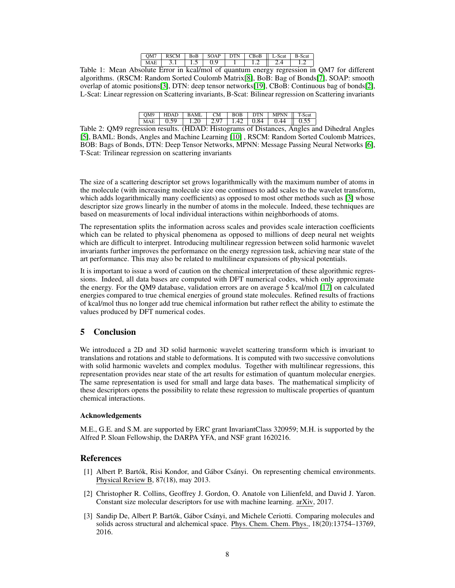| OM7        | <b>RSCM</b> | <b>BoB</b> | <b>SOAP</b> | <b>DTN</b> | CBoB | L-Scat | <b>B-Scat</b> |
|------------|-------------|------------|-------------|------------|------|--------|---------------|
| <b>MAE</b> |             | ر. د       |             |            |      |        |               |

Table 1: Mean Absolute Error in kcal/mol of quantum energy regression in QM7 for different algorithms. (RSCM: Random Sorted Coulomb Matrix[8], BoB: Bag of Bonds[7], SOAP: smooth overlap of atomic positions[3], DTN: deep tensor networks[19], CBoB: Continuous bag of bonds[2], L-Scat: Linear regression on Scattering invariants, B-Scat: Bilinear regression on Scattering invariants

|  |  |  | OM9   HDAD   BAML   CM   BOB   DTN   MPNN    T-Scat                                            |  |
|--|--|--|------------------------------------------------------------------------------------------------|--|
|  |  |  | MAE $\vert$ 0.59 $\vert$ 1.20 $\vert$ 2.97 $\vert$ 1.42 $\vert$ 0.84 $\vert$ 0.44 $\vert$ 0.55 |  |

Table 2: QM9 regression results. (HDAD: Histograms of Distances, Angles and Dihedral Angles [5], BAML: Bonds, Angles and Machine Learning [10] , RSCM: Random Sorted Coulomb Matrices, BOB: Bags of Bonds, DTN: Deep Tensor Networks, MPNN: Message Passing Neural Networks [6], T-Scat: Trilinear regression on scattering invariants

The size of a scattering descriptor set grows logarithmically with the maximum number of atoms in the molecule (with increasing molecule size one continues to add scales to the wavelet transform, which adds logarithmically many coefficients) as opposed to most other methods such as [3] whose descriptor size grows linearly in the number of atoms in the molecule. Indeed, these techniques are based on measurements of local individual interactions within neighborhoods of atoms.

The representation splits the information across scales and provides scale interaction coefficients which can be related to physical phenomena as opposed to millions of deep neural net weights which are difficult to interpret. Introducing multilinear regression between solid harmonic wavelet invariants further improves the performance on the energy regression task, achieving near state of the art performance. This may also be related to multilinear expansions of physical potentials.

It is important to issue a word of caution on the chemical interpretation of these algorithmic regressions. Indeed, all data bases are computed with DFT numerical codes, which only approximate the energy. For the QM9 database, validation errors are on average 5 kcal/mol [17] on calculated energies compared to true chemical energies of ground state molecules. Refined results of fractions of kcal/mol thus no longer add true chemical information but rather reflect the ability to estimate the values produced by DFT numerical codes.

# 5 Conclusion

We introduced a 2D and 3D solid harmonic wavelet scattering transform which is invariant to translations and rotations and stable to deformations. It is computed with two successive convolutions with solid harmonic wavelets and complex modulus. Together with multilinear regressions, this representation provides near state of the art results for estimation of quantum molecular energies. The same representation is used for small and large data bases. The mathematical simplicity of these descriptors opens the possibility to relate these regression to multiscale properties of quantum chemical interactions.

# Acknowledgements

M.E., G.E. and S.M. are supported by ERC grant InvariantClass 320959; M.H. is supported by the Alfred P. Sloan Fellowship, the DARPA YFA, and NSF grant 1620216.

# References

- [1] Albert P. Bartók, Risi Kondor, and Gábor Csányi. On representing chemical environments. Physical Review B, 87(18), may 2013.
- [2] Christopher R. Collins, Geoffrey J. Gordon, O. Anatole von Lilienfeld, and David J. Yaron. Constant size molecular descriptors for use with machine learning. arXiv, 2017.
- [3] Sandip De, Albert P. Bartók, Gábor Csányi, and Michele Ceriotti. Comparing molecules and solids across structural and alchemical space. Phys. Chem. Chem. Phys., 18(20):13754–13769, 2016.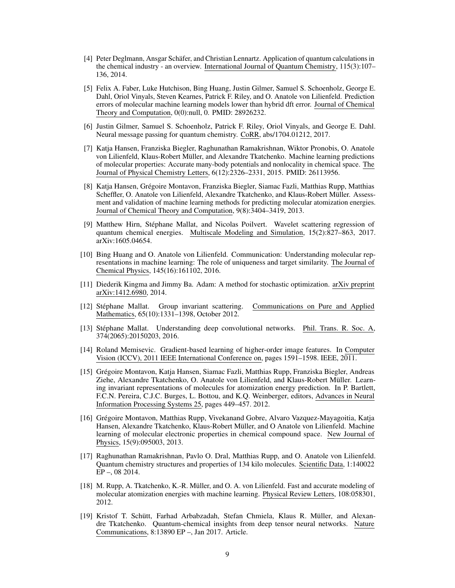- [4] Peter Deglmann, Ansgar Schäfer, and Christian Lennartz. Application of quantum calculations in the chemical industry - an overview. International Journal of Quantum Chemistry, 115(3):107– 136, 2014.
- [5] Felix A. Faber, Luke Hutchison, Bing Huang, Justin Gilmer, Samuel S. Schoenholz, George E. Dahl, Oriol Vinyals, Steven Kearnes, Patrick F. Riley, and O. Anatole von Lilienfeld. Prediction errors of molecular machine learning models lower than hybrid dft error. Journal of Chemical Theory and Computation, 0(0):null, 0. PMID: 28926232.
- [6] Justin Gilmer, Samuel S. Schoenholz, Patrick F. Riley, Oriol Vinyals, and George E. Dahl. Neural message passing for quantum chemistry. CoRR, abs/1704.01212, 2017.
- [7] Katja Hansen, Franziska Biegler, Raghunathan Ramakrishnan, Wiktor Pronobis, O. Anatole von Lilienfeld, Klaus-Robert Müller, and Alexandre Tkatchenko. Machine learning predictions of molecular properties: Accurate many-body potentials and nonlocality in chemical space. The Journal of Physical Chemistry Letters, 6(12):2326–2331, 2015. PMID: 26113956.
- [8] Katja Hansen, Grégoire Montavon, Franziska Biegler, Siamac Fazli, Matthias Rupp, Matthias Scheffler, O. Anatole von Lilienfeld, Alexandre Tkatchenko, and Klaus-Robert Müller. Assessment and validation of machine learning methods for predicting molecular atomization energies. Journal of Chemical Theory and Computation, 9(8):3404–3419, 2013.
- [9] Matthew Hirn, Stéphane Mallat, and Nicolas Poilvert. Wavelet scattering regression of quantum chemical energies. Multiscale Modeling and Simulation, 15(2):827–863, 2017. arXiv:1605.04654.
- [10] Bing Huang and O. Anatole von Lilienfeld. Communication: Understanding molecular representations in machine learning: The role of uniqueness and target similarity. The Journal of Chemical Physics, 145(16):161102, 2016.
- [11] Diederik Kingma and Jimmy Ba. Adam: A method for stochastic optimization. arXiv preprint arXiv:1412.6980, 2014.
- [12] Stéphane Mallat. Group invariant scattering. Communications on Pure and Applied Mathematics, 65(10):1331–1398, October 2012.
- [13] Stéphane Mallat. Understanding deep convolutional networks. Phil. Trans. R. Soc. A, 374(2065):20150203, 2016.
- [14] Roland Memisevic. Gradient-based learning of higher-order image features. In Computer Vision (ICCV), 2011 IEEE International Conference on, pages 1591–1598. IEEE, 2011.
- [15] Grégoire Montavon, Katja Hansen, Siamac Fazli, Matthias Rupp, Franziska Biegler, Andreas Ziehe, Alexandre Tkatchenko, O. Anatole von Lilienfeld, and Klaus-Robert Müller. Learning invariant representations of molecules for atomization energy prediction. In P. Bartlett, F.C.N. Pereira, C.J.C. Burges, L. Bottou, and K.Q. Weinberger, editors, Advances in Neural Information Processing Systems 25, pages 449–457. 2012.
- [16] Grégoire Montavon, Matthias Rupp, Vivekanand Gobre, Alvaro Vazquez-Mayagoitia, Katja Hansen, Alexandre Tkatchenko, Klaus-Robert Müller, and O Anatole von Lilienfeld. Machine learning of molecular electronic properties in chemical compound space. New Journal of Physics, 15(9):095003, 2013.
- [17] Raghunathan Ramakrishnan, Pavlo O. Dral, Matthias Rupp, and O. Anatole von Lilienfeld. Quantum chemistry structures and properties of 134 kilo molecules. Scientific Data, 1:140022 EP –, 08 2014.
- [18] M. Rupp, A. Tkatchenko, K.-R. Müller, and O. A. von Lilienfeld. Fast and accurate modeling of molecular atomization energies with machine learning. Physical Review Letters, 108:058301, 2012.
- [19] Kristof T. Schütt, Farhad Arbabzadah, Stefan Chmiela, Klaus R. Müller, and Alexandre Tkatchenko. Quantum-chemical insights from deep tensor neural networks. Nature Communications, 8:13890 EP –, Jan 2017. Article.